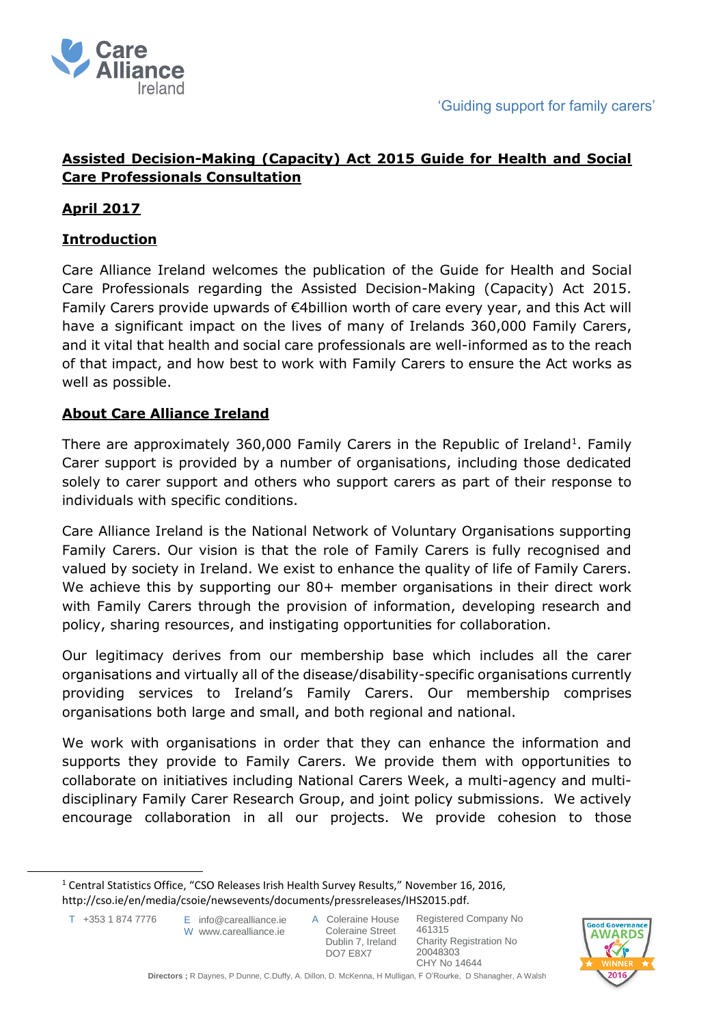

# **Assisted Decision-Making (Capacity) Act 2015 Guide for Health and Social Care Professionals Consultation**

## **April 2017**

## **Introduction**

Care Alliance Ireland welcomes the publication of the Guide for Health and Social Care Professionals regarding the Assisted Decision-Making (Capacity) Act 2015. Family Carers provide upwards of €4billion worth of care every year, and this Act will have a significant impact on the lives of many of Irelands 360,000 Family Carers, and it vital that health and social care professionals are well-informed as to the reach of that impact, and how best to work with Family Carers to ensure the Act works as well as possible.

#### **About Care Alliance Ireland**

There are approximately 360,000 Family Carers in the Republic of Ireland<sup>1</sup>. Family Carer support is provided by a number of organisations, including those dedicated solely to carer support and others who support carers as part of their response to individuals with specific conditions.

Care Alliance Ireland is the National Network of Voluntary Organisations supporting Family Carers. Our vision is that the role of Family Carers is fully recognised and valued by society in Ireland. We exist to enhance the quality of life of Family Carers. We achieve this by supporting our 80+ member organisations in their direct work with Family Carers through the provision of information, developing research and policy, sharing resources, and instigating opportunities for collaboration.

Our legitimacy derives from our membership base which includes all the carer organisations and virtually all of the disease/disability-specific organisations currently providing services to Ireland's Family Carers. Our membership comprises organisations both large and small, and both regional and national.

We work with organisations in order that they can enhance the information and supports they provide to Family Carers. We provide them with opportunities to collaborate on initiatives including National Carers Week, a multi-agency and multidisciplinary Family Carer Research Group, and joint policy submissions. We actively encourage collaboration in all our projects. We provide cohesion to those

 $\ddot{\phantom{a}}$ 



<sup>&</sup>lt;sup>1</sup> Central Statistics Office, "CSO Releases Irish Health Survey Results," November 16, 2016, http://cso.ie/en/media/csoie/newsevents/documents/pressreleases/IHS2015.pdf.

T +353 1 874 7776

E info@carealliance.ie W www.carealliance.je

A Coleraine House Coleraine Street Dublin 7, Ireland DO7 E8X7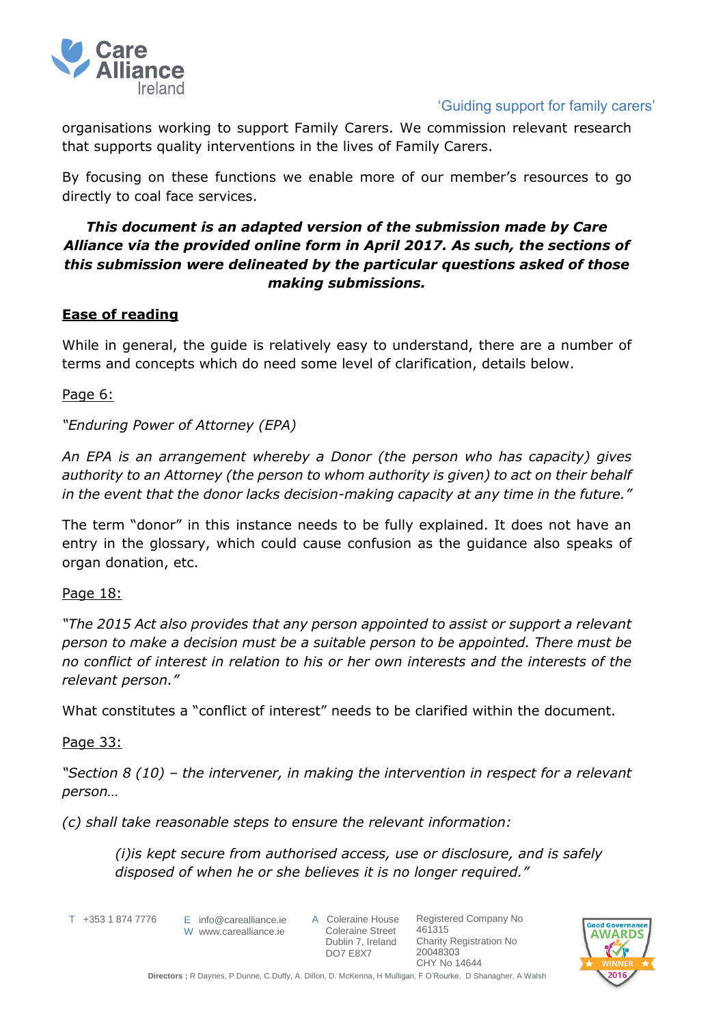

### 'Guiding support for family carers'

organisations working to support Family Carers. We commission relevant research that supports quality interventions in the lives of Family Carers.

By focusing on these functions we enable more of our member's resources to go directly to coal face services.

## *This document is an adapted version of the submission made by Care Alliance via the provided online form in April 2017. As such, the sections of this submission were delineated by the particular questions asked of those making submissions.*

## **Ease of reading**

While in general, the guide is relatively easy to understand, there are a number of terms and concepts which do need some level of clarification, details below.

Page 6:

## *"Enduring Power of Attorney (EPA)*

*An EPA is an arrangement whereby a Donor (the person who has capacity) gives authority to an Attorney (the person to whom authority is given) to act on their behalf in the event that the donor lacks decision-making capacity at any time in the future."* 

The term "donor" in this instance needs to be fully explained. It does not have an entry in the glossary, which could cause confusion as the guidance also speaks of organ donation, etc.

Page 18:

*"The 2015 Act also provides that any person appointed to assist or support a relevant person to make a decision must be a suitable person to be appointed. There must be no conflict of interest in relation to his or her own interests and the interests of the relevant person."*

What constitutes a "conflict of interest" needs to be clarified within the document.

#### Page 33:

*"Section 8 (10) – the intervener, in making the intervention in respect for a relevant person…*

*(c) shall take reasonable steps to ensure the relevant information:* 

*(i)is kept secure from authorised access, use or disclosure, and is safely disposed of when he or she believes it is no longer required."*

T +353 1 874 7776

 $E$  info@carealliance.ie W www.carealliance.ie A Coleraine House Coleraine Street Dublin 7, Ireland DO7 E8X7

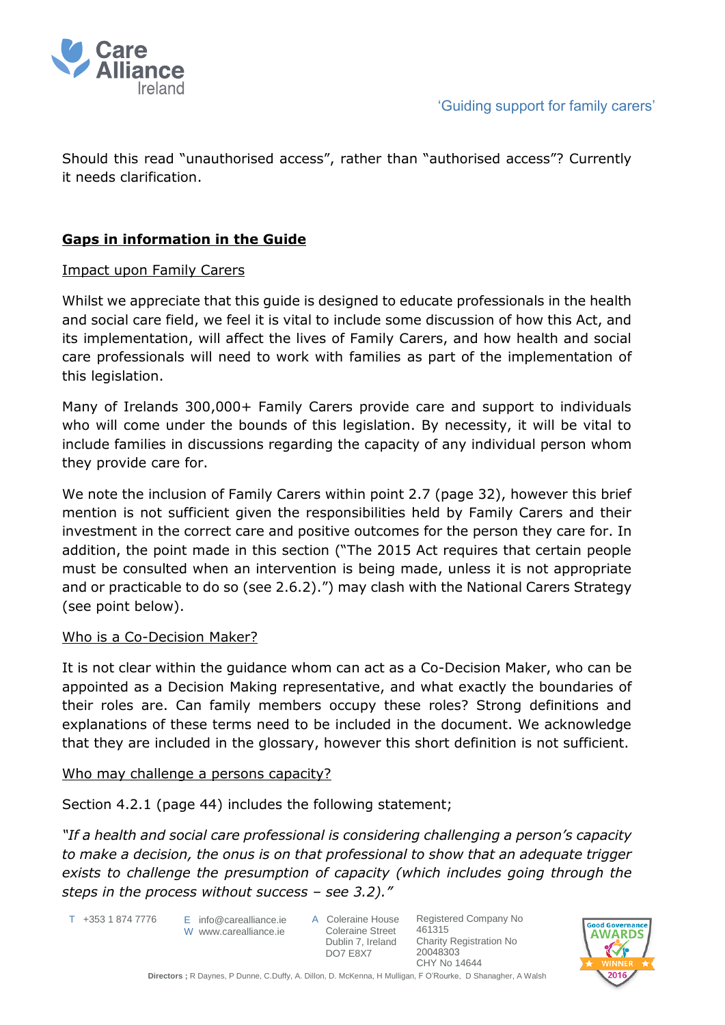

Should this read "unauthorised access", rather than "authorised access"? Currently it needs clarification.

# **Gaps in information in the Guide**

## Impact upon Family Carers

Whilst we appreciate that this guide is designed to educate professionals in the health and social care field, we feel it is vital to include some discussion of how this Act, and its implementation, will affect the lives of Family Carers, and how health and social care professionals will need to work with families as part of the implementation of this legislation.

Many of Irelands 300,000+ Family Carers provide care and support to individuals who will come under the bounds of this legislation. By necessity, it will be vital to include families in discussions regarding the capacity of any individual person whom they provide care for.

We note the inclusion of Family Carers within point 2.7 (page 32), however this brief mention is not sufficient given the responsibilities held by Family Carers and their investment in the correct care and positive outcomes for the person they care for. In addition, the point made in this section ("The 2015 Act requires that certain people must be consulted when an intervention is being made, unless it is not appropriate and or practicable to do so (see 2.6.2).") may clash with the National Carers Strategy (see point below).

#### Who is a Co-Decision Maker?

It is not clear within the guidance whom can act as a Co-Decision Maker, who can be appointed as a Decision Making representative, and what exactly the boundaries of their roles are. Can family members occupy these roles? Strong definitions and explanations of these terms need to be included in the document. We acknowledge that they are included in the glossary, however this short definition is not sufficient.

#### Who may challenge a persons capacity?

Section 4.2.1 (page 44) includes the following statement;

*"If a health and social care professional is considering challenging a person's capacity to make a decision, the onus is on that professional to show that an adequate trigger exists to challenge the presumption of capacity (which includes going through the steps in the process without success – see 3.2)."*

- T +353 1 874 7776
- E info@carealliance.ie W www.carealliance.ie
- A Coleraine House Coleraine Street Dublin 7, Ireland DO7 E8X7